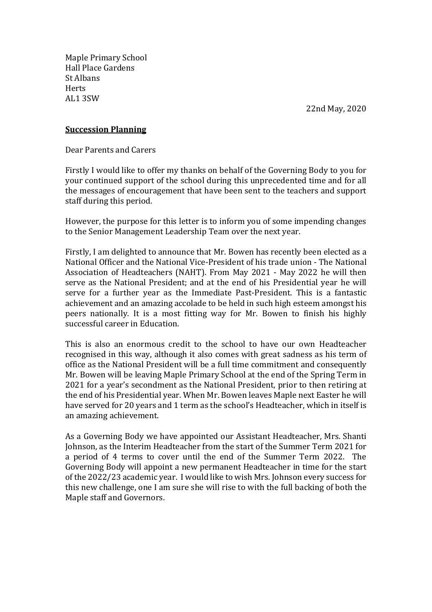Maple Primary School Hall Place Gardens St Albans **Herts** AL1 3SW

22nd May, 2020

## **Succession Planning**

Dear Parents and Carers

Firstly I would like to offer my thanks on behalf of the Governing Body to you for your continued support of the school during this unprecedented time and for all the messages of encouragement that have been sent to the teachers and support staff during this period.

However, the purpose for this letter is to inform you of some impending changes to the Senior Management Leadership Team over the next year.

Firstly, I am delighted to announce that Mr. Bowen has recently been elected as a National Officer and the National Vice-President of his trade union - The National Association of Headteachers (NAHT). From May 2021 - May 2022 he will then serve as the National President; and at the end of his Presidential year he will serve for a further year as the Immediate Past-President. This is a fantastic achievement and an amazing accolade to be held in such high esteem amongst his peers nationally. It is a most fitting way for Mr. Bowen to finish his highly successful career in Education.

This is also an enormous credit to the school to have our own Headteacher recognised in this way, although it also comes with great sadness as his term of office as the National President will be a full time commitment and consequently Mr. Bowen will be leaving Maple Primary School at the end of the Spring Term in 2021 for a year's secondment as the National President, prior to then retiring at the end of his Presidential year. When Mr. Bowen leaves Maple next Easter he will have served for 20 years and 1 term as the school's Headteacher, which in itself is an amazing achievement.

As a Governing Body we have appointed our Assistant Headteacher, Mrs. Shanti Johnson, as the Interim Headteacher from the start of the Summer Term 2021 for a period of 4 terms to cover until the end of the Summer Term 2022. The Governing Body will appoint a new permanent Headteacher in time for the start of the 2022/23 academic year. I would like to wish Mrs. Johnson every success for this new challenge, one I am sure she will rise to with the full backing of both the Maple staff and Governors.